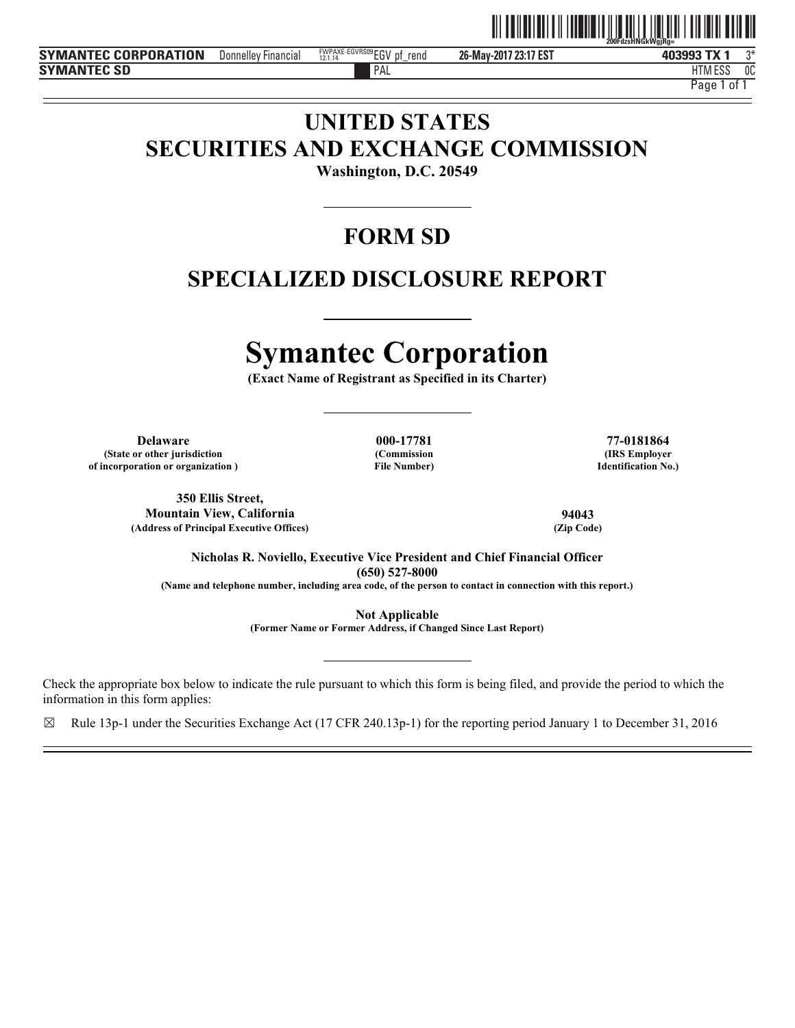

**26-May-2017 23:17 EST** Donnelley Financial EGV pf\_rend 3\* FWPAXE-EGVRS09 12.1.14

PAL FILM IN THE PALL THAT IN THE RELATION OF THE RELATION OF THE RELATIONSHIP OF THE RELATIONSHIP OF THE RELATIONSHIP OF THE RELATIONSHIP OF THE RELATIONSHIP OF THE RELATIONSHIP OF THE RELATIONSHIP OF THE RELATIONSHIP OF T HTM ESS 0C

Page 1 of

# **UNITED STATES SECURITIES AND EXCHANGE COMMISSION**

**Washington, D.C. 20549** 

# **FORM SD**

# **SPECIALIZED DISCLOSURE REPORT**

# **Symantec Corporation**

**(Exact Name of Registrant as Specified in its Charter)** 

**Delaware 000-17781 77-0181864 (State or other jurisdiction of incorporation or organization )**

**(Commission File Number)**

**(IRS Employer Identification No.)**

**350 Ellis Street, Mountain View, California 94043 (Address of Principal Executive Offices)** 

**Nicholas R. Noviello, Executive Vice President and Chief Financial Officer (650) 527-8000** 

**(Name and telephone number, including area code, of the person to contact in connection with this report.)** 

**Not Applicable** 

**(Former Name or Former Address, if Changed Since Last Report)** 

Check the appropriate box below to indicate the rule pursuant to which this form is being filed, and provide the period to which the information in this form applies:

 $\boxtimes$  Rule 13p-1 under the Securities Exchange Act (17 CFR 240.13p-1) for the reporting period January 1 to December 31, 2016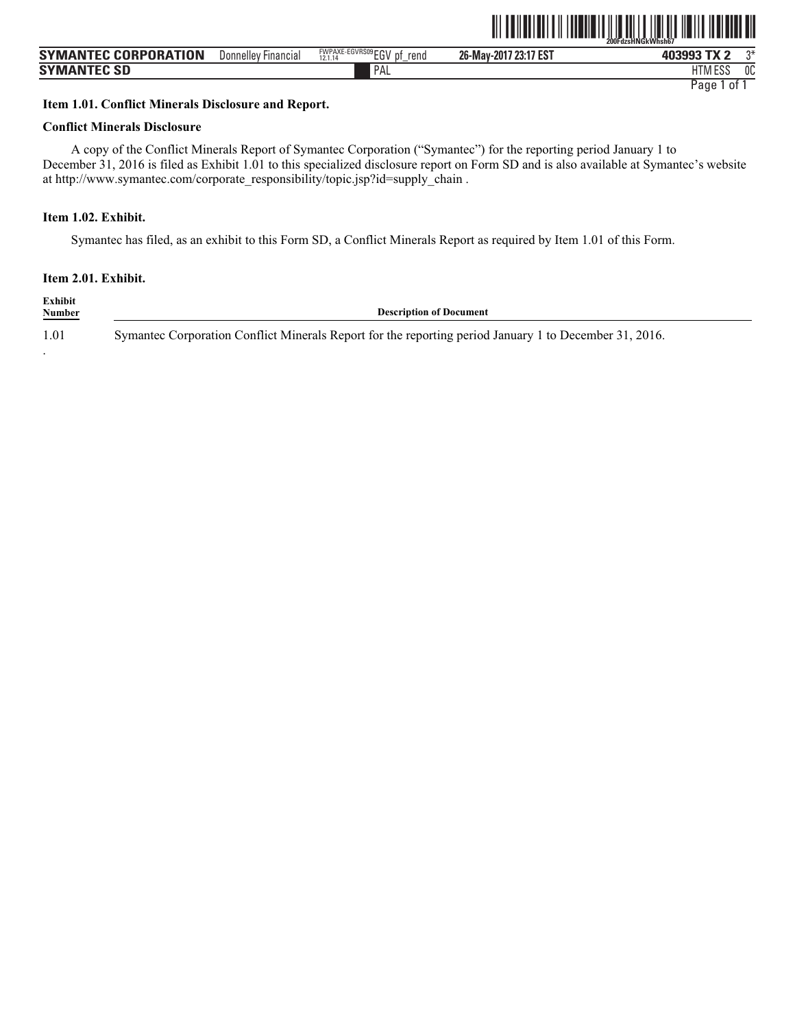|                             |                            |                                             | , , , , , , , , , , , , |             |    |
|-----------------------------|----------------------------|---------------------------------------------|-------------------------|-------------|----|
| <b>SYMANTEC CORPORATION</b> | <b>Donnelley Financial</b> | FWPAXE-EGVRS09 $EGV$ pf.<br>rend<br>12.1.14 | 26-May-2017 23:17 EST   | 403993 TX 2 |    |
| <b>SYMANTEC SD</b>          |                            | PAL                                         |                         | HTM ESS     | 0C |

ˆ200FdzsHNGkWhsh67Š **200FdzsHNGkWhsh67**

#### **Item 1.01. Conflict Minerals Disclosure and Report.**

#### **Conflict Minerals Disclosure**

A copy of the Conflict Minerals Report of Symantec Corporation ("Symantec") for the reporting period January 1 to December 31, 2016 is filed as Exhibit 1.01 to this specialized disclosure report on Form SD and is also available at Symantec's website at http://www.symantec.com/corporate\_responsibility/topic.jsp?id=supply\_chain .

#### **Item 1.02. Exhibit.**

Symantec has filed, as an exhibit to this Form SD, a Conflict Minerals Report as required by Item 1.01 of this Form.

|  |  | Item 2.01. Exhibit. |
|--|--|---------------------|
|--|--|---------------------|

.

**Exhibit Description of Document** 1.01 Symantec Corporation Conflict Minerals Report for the reporting period January 1 to December 31, 2016.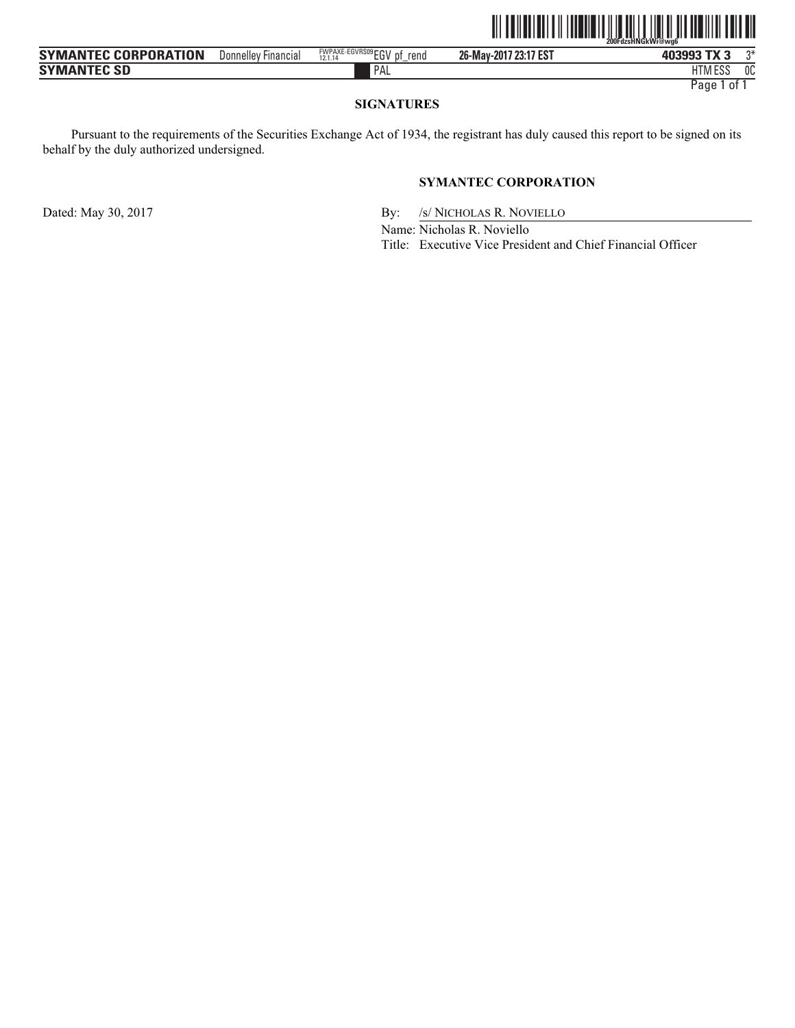|                             |                     |                                          | IIIIIIIIII<br>$\ $    | <b>IIIII IIII III</b><br>W<br>200FdzsHNGkWi@wa6 |    |
|-----------------------------|---------------------|------------------------------------------|-----------------------|-------------------------------------------------|----|
| <b>SYMANTEC CORPORATION</b> | Donnelley Financial | FWPAXE-EGVRS09 EGV pf<br>rend<br>12.1.14 | 26-May-2017 23:17 EST | 403993 TX 3                                     | ግ* |
| <b>SYMANTEC SD</b>          |                     | PAL                                      |                       | <b>HTM ESS</b>                                  | 0C |

#### **SIGNATURES**

Pursuant to the requirements of the Securities Exchange Act of 1934, the registrant has duly caused this report to be signed on its behalf by the duly authorized undersigned.

#### **SYMANTEC CORPORATION**

Dated: May 30, 2017 By: /s/ NICHOLAS R. NOVIELLO

Name: Nicholas R. Noviello

Title: Executive Vice President and Chief Financial Officer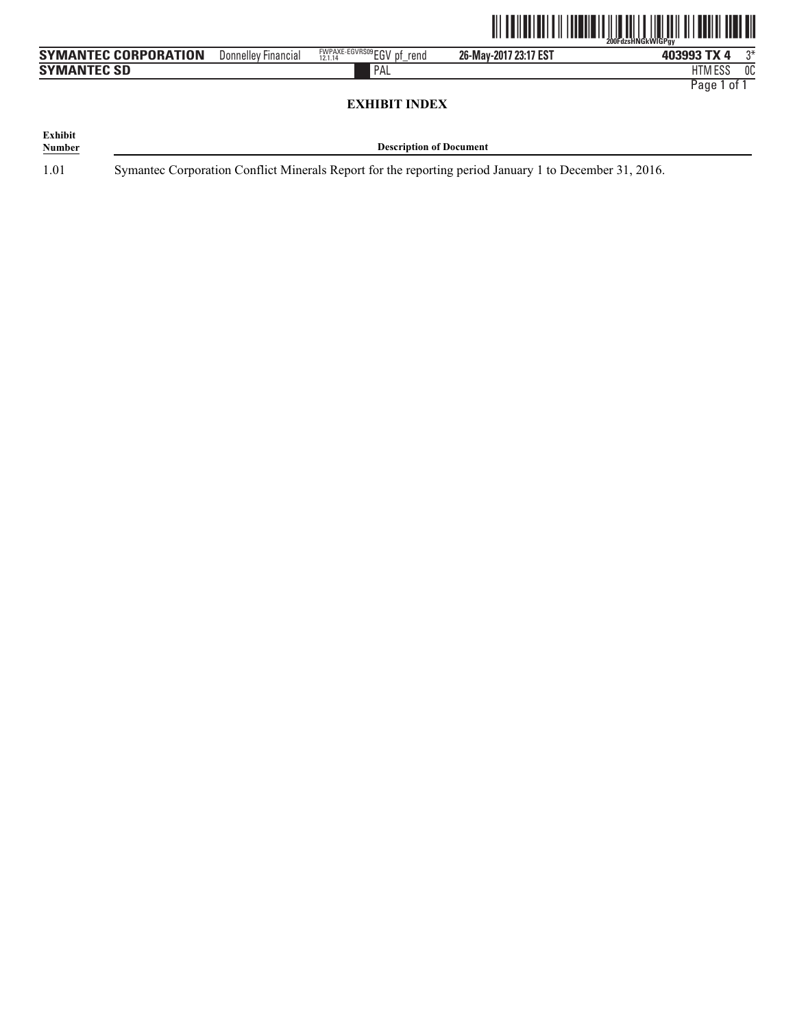

| <b>SYMANTEC CORPORATION</b> | Donnellev<br><b>Financial</b> | FWPAXE-EGVRS09 FOLL<br>rend<br>D.<br>10111<br>◡<br>2.1.1 | / 23:17 EST<br>26-May-2017 | 403993<br>rv/           | ∩* |
|-----------------------------|-------------------------------|----------------------------------------------------------|----------------------------|-------------------------|----|
| <b>SYMANTEC SD</b>          |                               | PAL                                                      |                            | $F^{\alpha}$<br>HIM ESS | 0C |

## **EXHIBIT INDEX**

| Exhibit       |                                |
|---------------|--------------------------------|
| <b>Number</b> | <b>Description of Document</b> |

1.01 Symantec Corporation Conflict Minerals Report for the reporting period January 1 to December 31, 2016.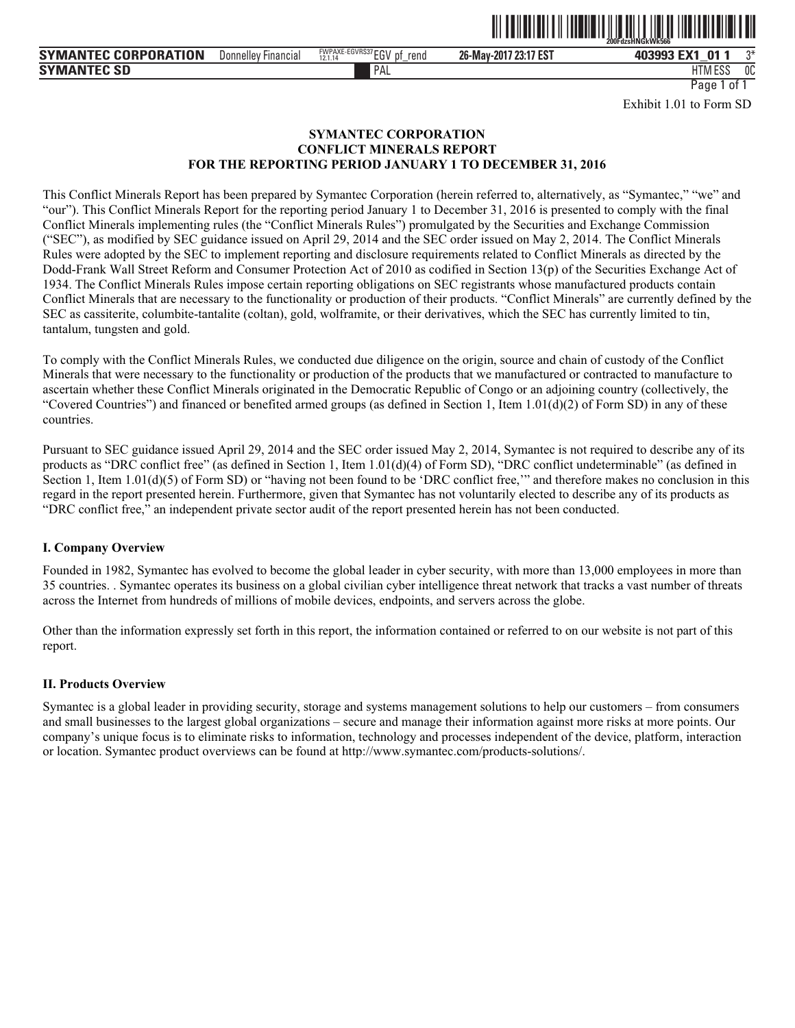

PAL FILM IN THE PALL THAT IN THE RELATION OF THE RELATION OF THE RELATIONSHIP OF THE RELATIONSHIP OF THE RELATIONSHIP OF THE RELATIONSHIP OF THE RELATIONSHIP OF THE RELATIONSHIP OF THE RELATIONSHIP OF THE RELATIONSHIP OF T HTM ESS 0C Page 1 of 1

Exhibit 1.01 to Form SD

#### **SYMANTEC CORPORATION CONFLICT MINERALS REPORT FOR THE REPORTING PERIOD JANUARY 1 TO DECEMBER 31, 2016**

This Conflict Minerals Report has been prepared by Symantec Corporation (herein referred to, alternatively, as "Symantec," "we" and "our"). This Conflict Minerals Report for the reporting period January 1 to December 31, 2016 is presented to comply with the final Conflict Minerals implementing rules (the "Conflict Minerals Rules") promulgated by the Securities and Exchange Commission ("SEC"), as modified by SEC guidance issued on April 29, 2014 and the SEC order issued on May 2, 2014. The Conflict Minerals Rules were adopted by the SEC to implement reporting and disclosure requirements related to Conflict Minerals as directed by the Dodd-Frank Wall Street Reform and Consumer Protection Act of 2010 as codified in Section 13(p) of the Securities Exchange Act of 1934. The Conflict Minerals Rules impose certain reporting obligations on SEC registrants whose manufactured products contain Conflict Minerals that are necessary to the functionality or production of their products. "Conflict Minerals" are currently defined by the SEC as cassiterite, columbite-tantalite (coltan), gold, wolframite, or their derivatives, which the SEC has currently limited to tin, tantalum, tungsten and gold.

To comply with the Conflict Minerals Rules, we conducted due diligence on the origin, source and chain of custody of the Conflict Minerals that were necessary to the functionality or production of the products that we manufactured or contracted to manufacture to ascertain whether these Conflict Minerals originated in the Democratic Republic of Congo or an adjoining country (collectively, the "Covered Countries") and financed or benefited armed groups (as defined in Section 1, Item  $1.01(d)(2)$  of Form SD) in any of these countries.

Pursuant to SEC guidance issued April 29, 2014 and the SEC order issued May 2, 2014, Symantec is not required to describe any of its products as "DRC conflict free" (as defined in Section 1, Item 1.01(d)(4) of Form SD), "DRC conflict undeterminable" (as defined in Section 1, Item 1.01(d)(5) of Form SD) or "having not been found to be 'DRC conflict free," and therefore makes no conclusion in this regard in the report presented herein. Furthermore, given that Symantec has not voluntarily elected to describe any of its products as "DRC conflict free," an independent private sector audit of the report presented herein has not been conducted.

#### **I. Company Overview**

Founded in 1982, Symantec has evolved to become the global leader in cyber security, with more than 13,000 employees in more than 35 countries. . Symantec operates its business on a global civilian cyber intelligence threat network that tracks a vast number of threats across the Internet from hundreds of millions of mobile devices, endpoints, and servers across the globe.

Other than the information expressly set forth in this report, the information contained or referred to on our website is not part of this report.

#### **II. Products Overview**

Symantec is a global leader in providing security, storage and systems management solutions to help our customers – from consumers and small businesses to the largest global organizations – secure and manage their information against more risks at more points. Our company's unique focus is to eliminate risks to information, technology and processes independent of the device, platform, interaction or location. Symantec product overviews can be found at http://www.symantec.com/products-solutions/.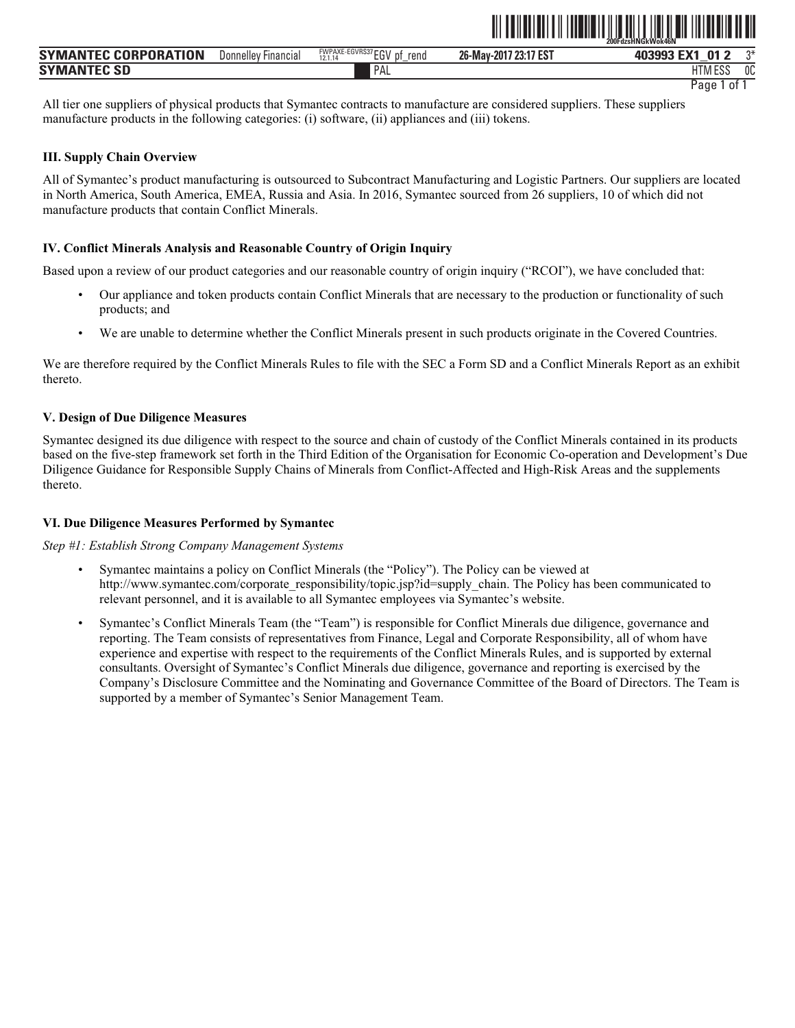|                      |                               |                              |                       | <u>. 111   A II AO I AO I AO I AO I ANN AN AIL AN DEALLACH AN DEALLACH AN AIR AN AIR AN AIR AN AIR AN AIR AN AIR</u><br>200FdzsHNGkWok46N |      |
|----------------------|-------------------------------|------------------------------|-----------------------|-------------------------------------------------------------------------------------------------------------------------------------------|------|
| SYMANTEC CORPORATION | Donnellev<br><b>Financial</b> | FWPAXE-EGVRS37 $EGV$<br>rend | 26-May-2017 23:17 EST | 403993 EX1<br>01                                                                                                                          | $n*$ |
| Symantec SD          |                               | PAL                          |                       | HTM ESS                                                                                                                                   | 0C   |

ˆ200FdzsHNGkWok46NŠ **200FdzsHNGkWok46N**

All tier one suppliers of physical products that Symantec contracts to manufacture are considered suppliers. These suppliers manufacture products in the following categories: (i) software, (ii) appliances and (iii) tokens.

# **III. Supply Chain Overview**

All of Symantec's product manufacturing is outsourced to Subcontract Manufacturing and Logistic Partners. Our suppliers are located in North America, South America, EMEA, Russia and Asia. In 2016, Symantec sourced from 26 suppliers, 10 of which did not manufacture products that contain Conflict Minerals.

# **IV. Conflict Minerals Analysis and Reasonable Country of Origin Inquiry**

Based upon a review of our product categories and our reasonable country of origin inquiry ("RCOI"), we have concluded that:

- Our appliance and token products contain Conflict Minerals that are necessary to the production or functionality of such products; and
- We are unable to determine whether the Conflict Minerals present in such products originate in the Covered Countries.

We are therefore required by the Conflict Minerals Rules to file with the SEC a Form SD and a Conflict Minerals Report as an exhibit thereto.

# **V. Design of Due Diligence Measures**

Symantec designed its due diligence with respect to the source and chain of custody of the Conflict Minerals contained in its products based on the five-step framework set forth in the Third Edition of the Organisation for Economic Co-operation and Development's Due Diligence Guidance for Responsible Supply Chains of Minerals from Conflict-Affected and High-Risk Areas and the supplements thereto.

# **VI. Due Diligence Measures Performed by Symantec**

*Step #1: Establish Strong Company Management Systems* 

- Symantec maintains a policy on Conflict Minerals (the "Policy"). The Policy can be viewed at http://www.symantec.com/corporate\_responsibility/topic.jsp?id=supply\_chain. The Policy has been communicated to relevant personnel, and it is available to all Symantec employees via Symantec's website.
- Symantec's Conflict Minerals Team (the "Team") is responsible for Conflict Minerals due diligence, governance and reporting. The Team consists of representatives from Finance, Legal and Corporate Responsibility, all of whom have experience and expertise with respect to the requirements of the Conflict Minerals Rules, and is supported by external consultants. Oversight of Symantec's Conflict Minerals due diligence, governance and reporting is exercised by the Company's Disclosure Committee and the Nominating and Governance Committee of the Board of Directors. The Team is supported by a member of Symantec's Senior Management Team.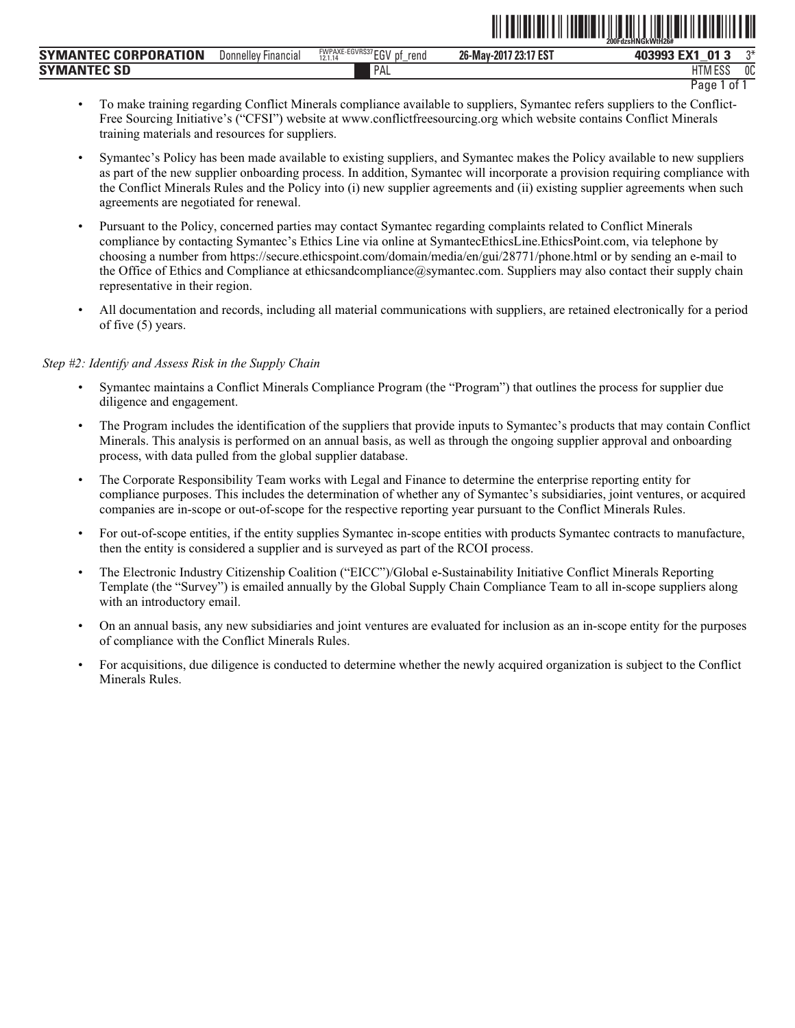|                                        |                     |                                                                   |                            | ZUUFUZSMINGKVVIMZD#                   |              |
|----------------------------------------|---------------------|-------------------------------------------------------------------|----------------------------|---------------------------------------|--------------|
| <b>TEC CORPORATION</b><br><b>SYMAN</b> | Donnelley Financial | <b>FWPAXE-EGVRS37 FOU</b><br>rend<br>10111<br>IJΙ<br>ື<br>12.1.14 | 7 23:17 EST<br>26-May-2017 | -374<br>$\mathbf{A}$<br>,,,,,,<br>40. | $n+$         |
| <b>SYMAN</b><br><b>SD</b>              |                     | PAL                                                               |                            | <b>LITRA FOO</b><br>טטם וווו          | $\sim$<br>UU |

Page 1 of 1

ˆ200FdzsHNGkWtH26#Š **200FdzsHNGkWtH26#**

- To make training regarding Conflict Minerals compliance available to suppliers, Symantec refers suppliers to the Conflict-Free Sourcing Initiative's ("CFSI") website at www.conflictfreesourcing.org which website contains Conflict Minerals training materials and resources for suppliers.
- Symantec's Policy has been made available to existing suppliers, and Symantec makes the Policy available to new suppliers as part of the new supplier onboarding process. In addition, Symantec will incorporate a provision requiring compliance with the Conflict Minerals Rules and the Policy into (i) new supplier agreements and (ii) existing supplier agreements when such agreements are negotiated for renewal.
- Pursuant to the Policy, concerned parties may contact Symantec regarding complaints related to Conflict Minerals compliance by contacting Symantec's Ethics Line via online at SymantecEthicsLine.EthicsPoint.com, via telephone by choosing a number from https://secure.ethicspoint.com/domain/media/en/gui/28771/phone.html or by sending an e-mail to the Office of Ethics and Compliance at ethicsandcompliance@symantec.com. Suppliers may also contact their supply chain representative in their region.
- All documentation and records, including all material communications with suppliers, are retained electronically for a period of five (5) years.

#### *Step #2: Identify and Assess Risk in the Supply Chain*

- Symantec maintains a Conflict Minerals Compliance Program (the "Program") that outlines the process for supplier due diligence and engagement.
- The Program includes the identification of the suppliers that provide inputs to Symantec's products that may contain Conflict Minerals. This analysis is performed on an annual basis, as well as through the ongoing supplier approval and onboarding process, with data pulled from the global supplier database.
- The Corporate Responsibility Team works with Legal and Finance to determine the enterprise reporting entity for compliance purposes. This includes the determination of whether any of Symantec's subsidiaries, joint ventures, or acquired companies are in-scope or out-of-scope for the respective reporting year pursuant to the Conflict Minerals Rules.
- For out-of-scope entities, if the entity supplies Symantec in-scope entities with products Symantec contracts to manufacture, then the entity is considered a supplier and is surveyed as part of the RCOI process.
- The Electronic Industry Citizenship Coalition ("EICC")/Global e-Sustainability Initiative Conflict Minerals Reporting Template (the "Survey") is emailed annually by the Global Supply Chain Compliance Team to all in-scope suppliers along with an introductory email.
- On an annual basis, any new subsidiaries and joint ventures are evaluated for inclusion as an in-scope entity for the purposes of compliance with the Conflict Minerals Rules.
- For acquisitions, due diligence is conducted to determine whether the newly acquired organization is subject to the Conflict Minerals Rules.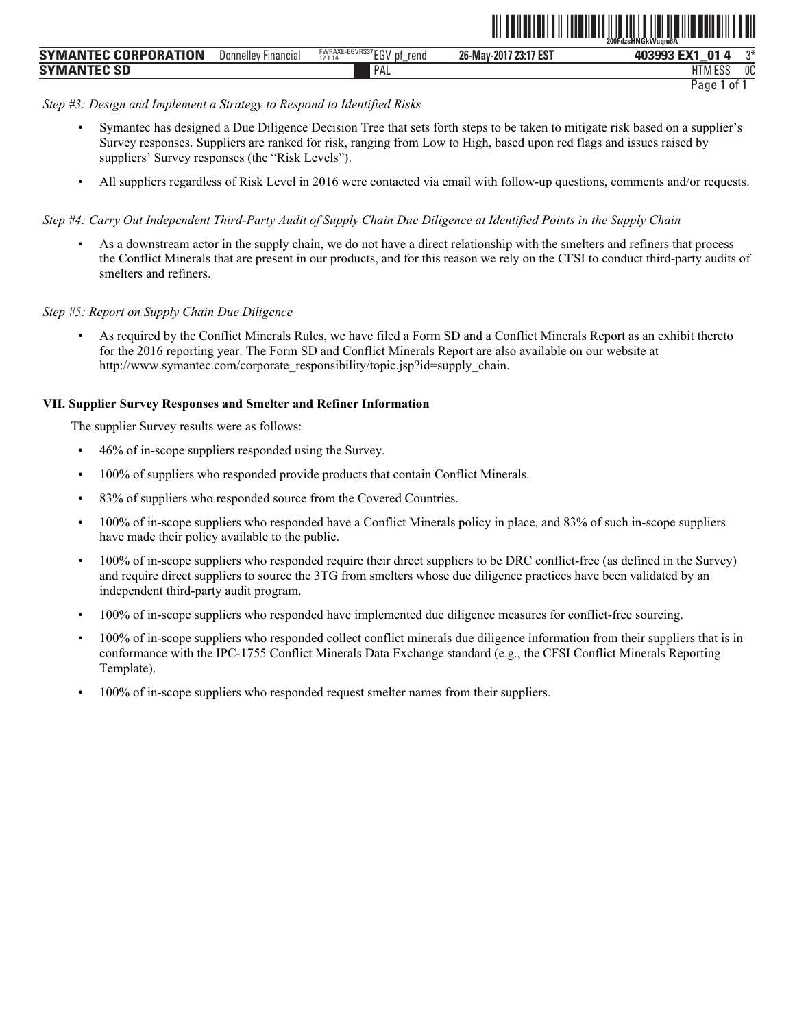|                      |                     |                                                           |                                    | - 200FdzsHNGkWuam6A                        |      |
|----------------------|---------------------|-----------------------------------------------------------|------------------------------------|--------------------------------------------|------|
| SYMANTEC CORPORATION | Donnelley Financial | FWPAXE-EGVRS37 ECN<br>rend<br>рţ<br>12.1.14<br>⊬ט∟<br>$-$ | <b>17 23:17 EST</b><br>26-May-2017 | ∠ EV″<br>$\mathbf{01}$<br>403993<br><br>LΛ | $n*$ |
| SYMANTEC SD          |                     | PAL                                                       |                                    | HTM ESა                                    | 0C   |

ˆ200FdzsHNGkWuqm6AŠ

## *Step #3: Design and Implement a Strategy to Respond to Identified Risks*

- Symantec has designed a Due Diligence Decision Tree that sets forth steps to be taken to mitigate risk based on a supplier's Survey responses. Suppliers are ranked for risk, ranging from Low to High, based upon red flags and issues raised by suppliers' Survey responses (the "Risk Levels").
- All suppliers regardless of Risk Level in 2016 were contacted via email with follow-up questions, comments and/or requests.

*Step #4: Carry Out Independent Third-Party Audit of Supply Chain Due Diligence at Identified Points in the Supply Chain* 

• As a downstream actor in the supply chain, we do not have a direct relationship with the smelters and refiners that process the Conflict Minerals that are present in our products, and for this reason we rely on the CFSI to conduct third-party audits of smelters and refiners.

# *Step #5: Report on Supply Chain Due Diligence*

• As required by the Conflict Minerals Rules, we have filed a Form SD and a Conflict Minerals Report as an exhibit thereto for the 2016 reporting year. The Form SD and Conflict Minerals Report are also available on our website at http://www.symantec.com/corporate\_responsibility/topic.jsp?id=supply\_chain.

# **VII. Supplier Survey Responses and Smelter and Refiner Information**

The supplier Survey results were as follows:

- 46% of in-scope suppliers responded using the Survey.
- 100% of suppliers who responded provide products that contain Conflict Minerals.
- 83% of suppliers who responded source from the Covered Countries.
- 100% of in-scope suppliers who responded have a Conflict Minerals policy in place, and 83% of such in-scope suppliers have made their policy available to the public.
- 100% of in-scope suppliers who responded require their direct suppliers to be DRC conflict-free (as defined in the Survey) and require direct suppliers to source the 3TG from smelters whose due diligence practices have been validated by an independent third-party audit program.
- 100% of in-scope suppliers who responded have implemented due diligence measures for conflict-free sourcing.
- 100% of in-scope suppliers who responded collect conflict minerals due diligence information from their suppliers that is in conformance with the IPC-1755 Conflict Minerals Data Exchange standard (e.g., the CFSI Conflict Minerals Reporting Template).
- 100% of in-scope suppliers who responded request smelter names from their suppliers.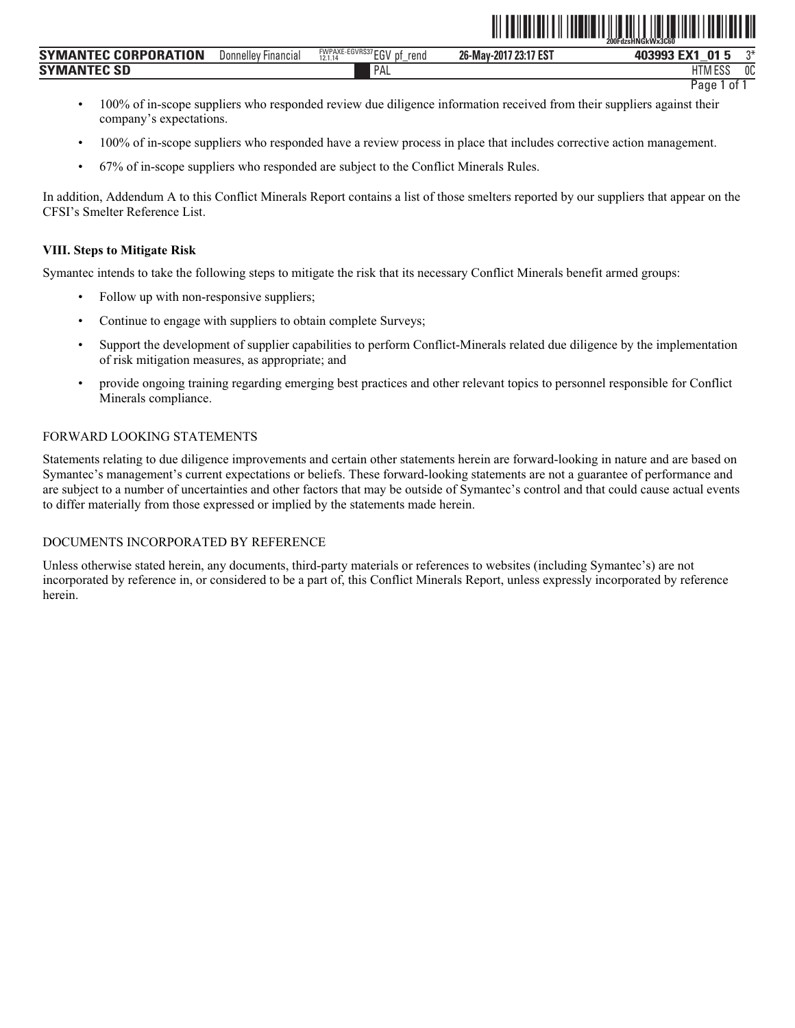| $\cdots$ $\cdots$ $\overline{R}$ $\overline{R}$ $\overline{R}$ $\overline{R}$ $\overline{R}$ $\overline{R}$ $\overline{R}$ $\overline{R}$ $\overline{R}$ $\overline{R}$ $\overline{R}$ $\overline{R}$ $\overline{R}$ $\overline{R}$ $\overline{R}$ $\overline{R}$ $\overline{R}$ $\overline{R}$ $\overline{R}$ $\overline{R}$ $\overline{R}$ $\overline{R}$ $\overline{R}$ $\$<br><b>FWPAXE-EGVRS37</b><br><b>CORPORATION</b><br><b>SYMANTE</b><br>Donnellev<br>rend<br>Financia,<br>12.1.14<br>∟ບ<br>- | 23:17 EST<br><b>FMA</b><br>26-May-2017<br>$\mathbf{A}$<br>$-$ | $n*$ |
|---------------------------------------------------------------------------------------------------------------------------------------------------------------------------------------------------------------------------------------------------------------------------------------------------------------------------------------------------------------------------------------------------------------------------------------------------------------------------------------------------------|---------------------------------------------------------------|------|
| PΛ<br><b>SYMANTEC</b><br>EC SD<br>H                                                                                                                                                                                                                                                                                                                                                                                                                                                                     | 1173400c<br>' I M L<br>LUL                                    | 0C   |

ˆ200FdzsHNGkWx3C60Š **200FdzsHNGkWx3C60**

- 100% of in-scope suppliers who responded review due diligence information received from their suppliers against their company's expectations.
- 100% of in-scope suppliers who responded have a review process in place that includes corrective action management.
- 67% of in-scope suppliers who responded are subject to the Conflict Minerals Rules.

In addition, Addendum A to this Conflict Minerals Report contains a list of those smelters reported by our suppliers that appear on the CFSI's Smelter Reference List.

## **VIII. Steps to Mitigate Risk**

Symantec intends to take the following steps to mitigate the risk that its necessary Conflict Minerals benefit armed groups:

- Follow up with non-responsive suppliers;
- Continue to engage with suppliers to obtain complete Surveys;
- Support the development of supplier capabilities to perform Conflict-Minerals related due diligence by the implementation of risk mitigation measures, as appropriate; and
- provide ongoing training regarding emerging best practices and other relevant topics to personnel responsible for Conflict Minerals compliance.

# FORWARD LOOKING STATEMENTS

Statements relating to due diligence improvements and certain other statements herein are forward-looking in nature and are based on Symantec's management's current expectations or beliefs. These forward-looking statements are not a guarantee of performance and are subject to a number of uncertainties and other factors that may be outside of Symantec's control and that could cause actual events to differ materially from those expressed or implied by the statements made herein.

# DOCUMENTS INCORPORATED BY REFERENCE

Unless otherwise stated herein, any documents, third-party materials or references to websites (including Symantec's) are not incorporated by reference in, or considered to be a part of, this Conflict Minerals Report, unless expressly incorporated by reference herein.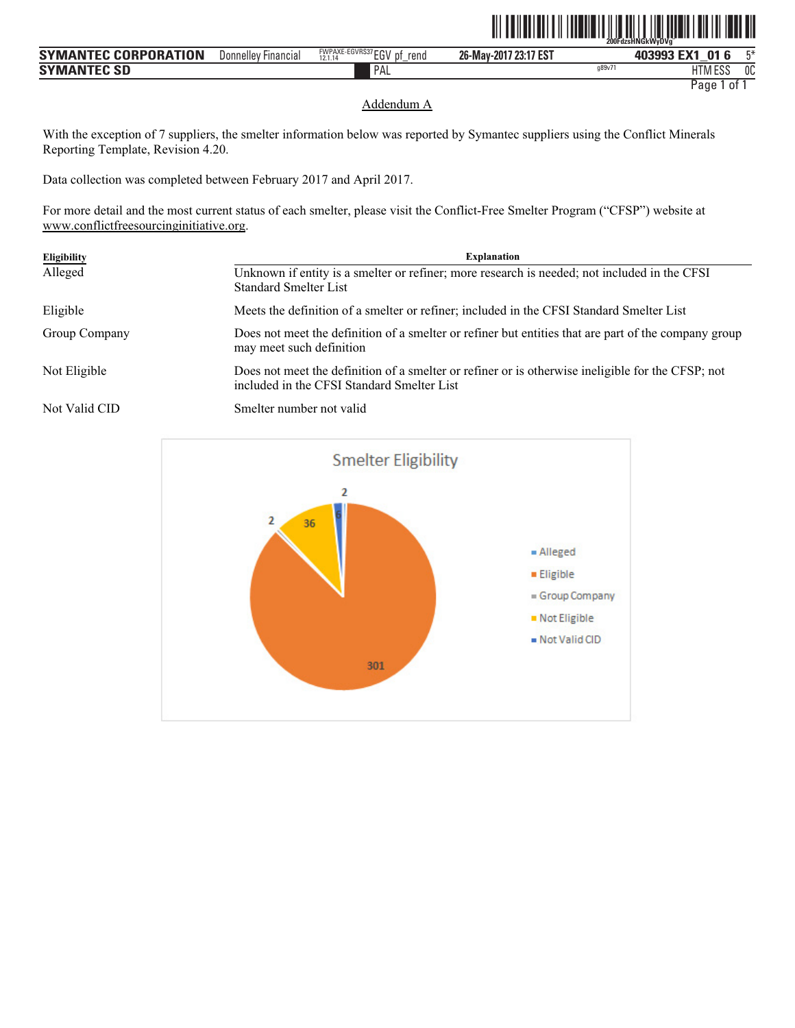| <b>SYMANTEC CORPORATION</b> | Donnelley Financial | <b>FWPAXE-EGVRS37 ECV</b><br>rend<br>nt.<br>12.1.14<br>∟ບ<br>$-$ | 26-May-2017 23:17 EST |       | $J E X^{\dagger}$<br>01<br>403993<br>o | mж. |
|-----------------------------|---------------------|------------------------------------------------------------------|-----------------------|-------|----------------------------------------|-----|
| <b>SYMANTEC SD</b>          |                     | PAL                                                              |                       | q89v7 | 1.500<br>UТ<br>.<br>LI INI LYY         | 0C  |

ˆ200FdzsHNGkWyDVgÈŠ

#### Addendum A

With the exception of 7 suppliers, the smelter information below was reported by Symantec suppliers using the Conflict Minerals Reporting Template, Revision 4.20.

Data collection was completed between February 2017 and April 2017.

For more detail and the most current status of each smelter, please visit the Conflict-Free Smelter Program ("CFSP") website at www.conflictfreesourcinginitiative.org.

| <b>Eligibility</b> | <b>Explanation</b>                                                                                                                              |
|--------------------|-------------------------------------------------------------------------------------------------------------------------------------------------|
| Alleged            | Unknown if entity is a smelter or refiner; more research is needed; not included in the CFSI<br><b>Standard Smelter List</b>                    |
| Eligible           | Meets the definition of a smelter or refiner; included in the CFSI Standard Smelter List                                                        |
| Group Company      | Does not meet the definition of a smelter or refiner but entities that are part of the company group<br>may meet such definition                |
| Not Eligible       | Does not meet the definition of a smelter or refiner or is otherwise ineligible for the CFSP; not<br>included in the CFSI Standard Smelter List |
| Not Valid CID      | Smelter number not valid                                                                                                                        |

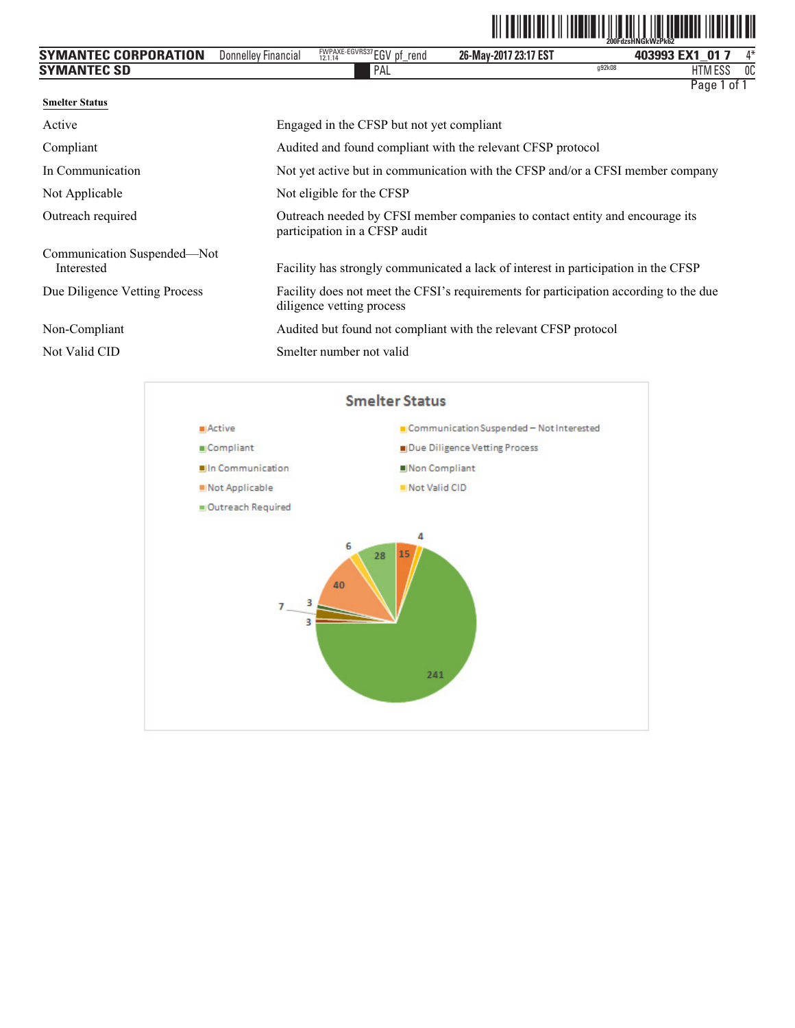| <b>SYMANTEC CORPORATION</b>               | <b>Donnelley Financial</b> | FWPAXE-EGVRS37EGV pf_rend                                                      | 26-May-2017 23:17 EST                                                              | 403993 EX1 01 7                                                                       | 4* |  |
|-------------------------------------------|----------------------------|--------------------------------------------------------------------------------|------------------------------------------------------------------------------------|---------------------------------------------------------------------------------------|----|--|
| <b>SYMANTEC SD</b>                        |                            | PAL                                                                            |                                                                                    | q92k08<br><b>HTM ESS</b>                                                              | OC |  |
| <b>Smelter Status</b>                     |                            |                                                                                |                                                                                    | Page 1 of 1                                                                           |    |  |
| Active                                    |                            | Engaged in the CFSP but not yet compliant                                      |                                                                                    |                                                                                       |    |  |
| Compliant                                 |                            |                                                                                | Audited and found compliant with the relevant CFSP protocol                        |                                                                                       |    |  |
| In Communication                          |                            | Not yet active but in communication with the CFSP and/or a CFSI member company |                                                                                    |                                                                                       |    |  |
| Not Applicable                            |                            | Not eligible for the CFSP                                                      |                                                                                    |                                                                                       |    |  |
| Outreach required                         |                            | participation in a CFSP audit                                                  | Outreach needed by CFSI member companies to contact entity and encourage its       |                                                                                       |    |  |
| Communication Suspended-Not<br>Interested |                            |                                                                                | Facility has strongly communicated a lack of interest in participation in the CFSP |                                                                                       |    |  |
| Due Diligence Vetting Process             |                            | diligence vetting process                                                      |                                                                                    | Facility does not meet the CFSI's requirements for participation according to the due |    |  |
| Non-Compliant                             |                            |                                                                                | Audited but found not compliant with the relevant CFSP protocol                    |                                                                                       |    |  |
| Not Valid CID                             |                            | Smelter number not valid                                                       |                                                                                    |                                                                                       |    |  |

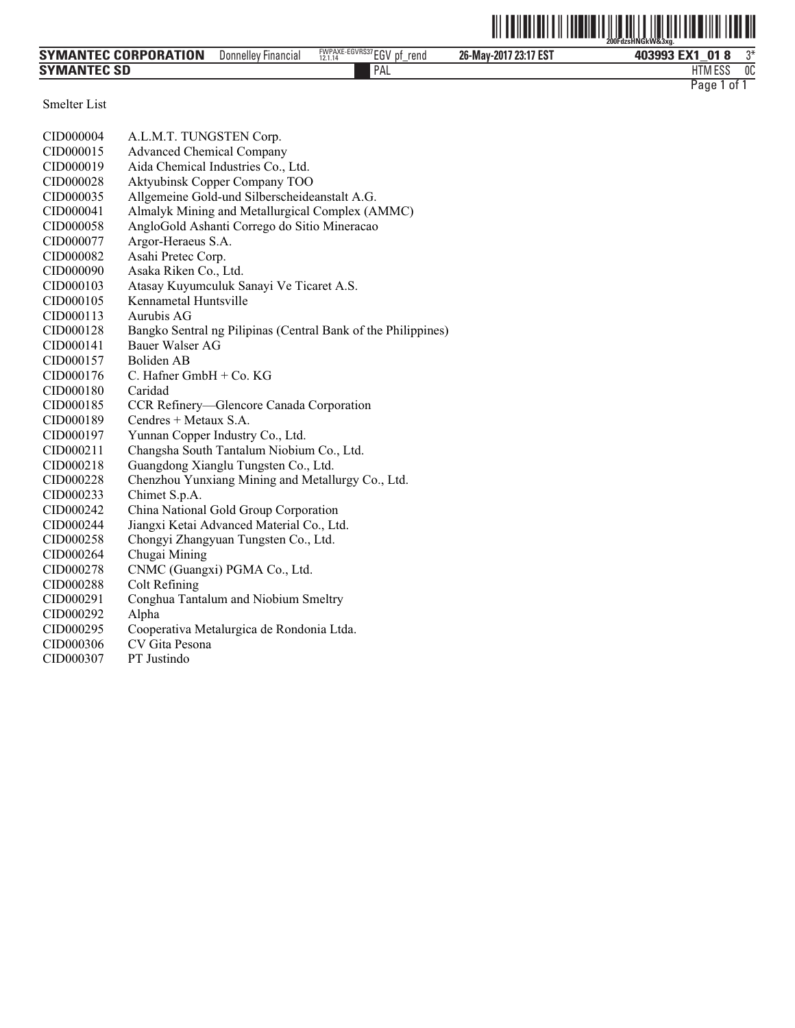|                      |                     |                                          |                       | 200FdzsHNGkW&3xg.    |
|----------------------|---------------------|------------------------------------------|-----------------------|----------------------|
| SYMANTEC CORPORATION | Donnelley Financial | FWPAXE-EGVRS37 EGV pf<br>rend<br>12.1.14 | 26-May-2017 23:17 EST | つ米<br>403993 EX1 018 |
| <b>SYMANTEC SD</b>   |                     | PAL                                      |                       | 0C<br><b>HTM ESS</b> |
|                      |                     |                                          |                       | Page 1<br>0f         |

Smelter List

| CID000004 | A.L.M.T. TUNGSTEN Corp.                                       |
|-----------|---------------------------------------------------------------|
| CID000015 | <b>Advanced Chemical Company</b>                              |
| CID000019 | Aida Chemical Industries Co., Ltd.                            |
| CID000028 | Aktyubinsk Copper Company TOO                                 |
| CID000035 | Allgemeine Gold-und Silberscheideanstalt A.G.                 |
| CID000041 | Almalyk Mining and Metallurgical Complex (AMMC)               |
| CID000058 | AngloGold Ashanti Corrego do Sitio Mineracao                  |
| CID000077 | Argor-Heraeus S.A.                                            |
| CID000082 | Asahi Pretec Corp.                                            |
| CID000090 | Asaka Riken Co., Ltd.                                         |
| CID000103 | Atasay Kuyumculuk Sanayi Ve Ticaret A.S.                      |
| CID000105 | Kennametal Huntsville                                         |
| CID000113 | Aurubis AG                                                    |
| CID000128 | Bangko Sentral ng Pilipinas (Central Bank of the Philippines) |
| CID000141 | <b>Bauer Walser AG</b>                                        |
| CID000157 | Boliden AB                                                    |
| CID000176 | $C.$ Hafner GmbH + $Co.$ KG                                   |
| CID000180 | Caridad                                                       |
| CID000185 | CCR Refinery-Glencore Canada Corporation                      |
| CID000189 | Cendres + Metaux S.A.                                         |
| CID000197 | Yunnan Copper Industry Co., Ltd.                              |
| CID000211 | Changsha South Tantalum Niobium Co., Ltd.                     |
| CID000218 | Guangdong Xianglu Tungsten Co., Ltd.                          |
| CID000228 | Chenzhou Yunxiang Mining and Metallurgy Co., Ltd.             |
| CID000233 | Chimet S.p.A.                                                 |
| CID000242 | China National Gold Group Corporation                         |
| CID000244 | Jiangxi Ketai Advanced Material Co., Ltd.                     |
| CID000258 | Chongyi Zhangyuan Tungsten Co., Ltd.                          |
| CID000264 | Chugai Mining                                                 |
| CID000278 | CNMC (Guangxi) PGMA Co., Ltd.                                 |
| CID000288 | <b>Colt Refining</b>                                          |
| CID000291 | Conghua Tantalum and Niobium Smeltry                          |
| CID000292 | Alpha                                                         |
| CID000295 | Cooperativa Metalurgica de Rondonia Ltda.                     |
| CID000306 | CV Gita Pesona                                                |
| CID000307 | PT Justindo                                                   |
|           |                                                               |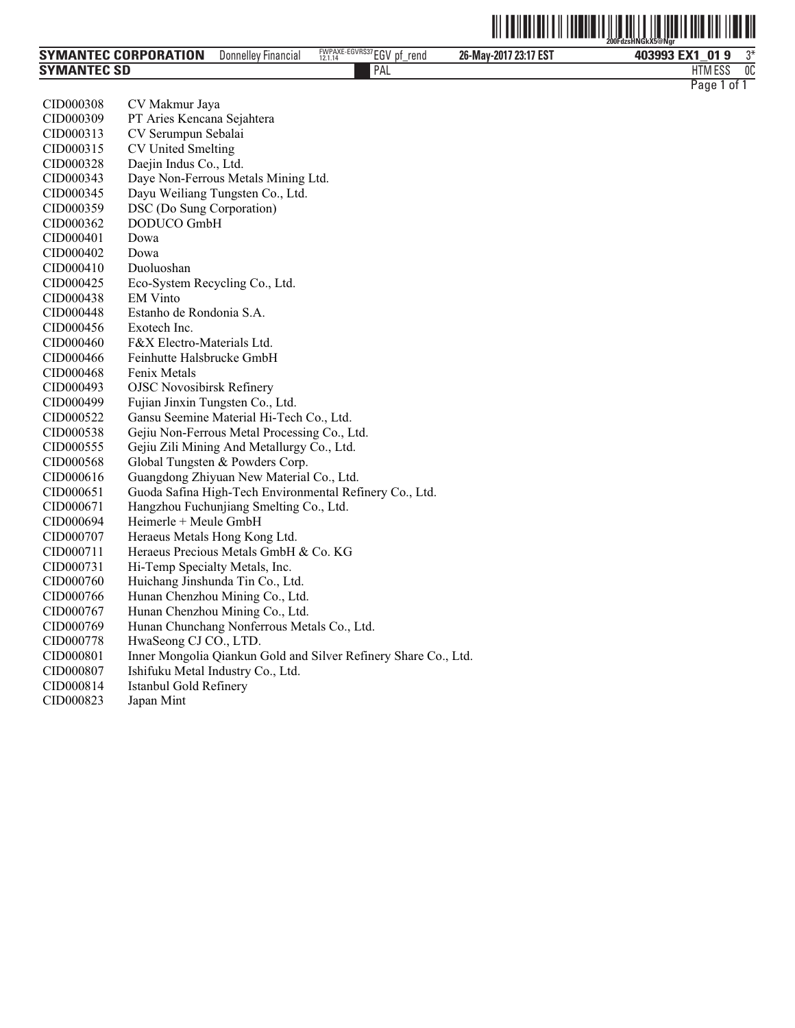|                             |                            |                                             |                       | <u>                 </u><br>200FdzsHNGkX5@Ngr |    |
|-----------------------------|----------------------------|---------------------------------------------|-----------------------|-----------------------------------------------|----|
| <b>SYMANTEC CORPORATION</b> | <b>Donnelley Financial</b> | FWPAXE-EGVRS37 EGV<br>pf<br>rend<br>12.1.14 | 26-May-2017 23:17 EST | 403993 EX1 01 9                               | ግ* |
| <b>SYMANTEC SD</b>          |                            | <b>PAL</b>                                  |                       | <b>HTM ESS</b>                                | 0C |

| CID000308 | CV Makmur Jaya                                          |
|-----------|---------------------------------------------------------|
| CID000309 | PT Aries Kencana Sejahtera                              |
| CID000313 | CV Serumpun Sebalai                                     |
| CID000315 | <b>CV United Smelting</b>                               |
| CID000328 | Daejin Indus Co., Ltd.                                  |
| CID000343 | Daye Non-Ferrous Metals Mining Ltd.                     |
| CID000345 | Dayu Weiliang Tungsten Co., Ltd.                        |
| CID000359 | DSC (Do Sung Corporation)                               |
| CID000362 | DODUCO GmbH                                             |
| CID000401 | Dowa                                                    |
| CID000402 | Dowa                                                    |
| CID000410 | Duoluoshan                                              |
| CID000425 | Eco-System Recycling Co., Ltd.                          |
| CID000438 | <b>EM Vinto</b>                                         |
| CID000448 | Estanho de Rondonia S.A.                                |
| CID000456 | Exotech Inc.                                            |
| CID000460 | F&X Electro-Materials Ltd.                              |
| CID000466 | Feinhutte Halsbrucke GmbH                               |
| CID000468 | Fenix Metals                                            |
| CID000493 | <b>OJSC Novosibirsk Refinery</b>                        |
| CID000499 | Fujian Jinxin Tungsten Co., Ltd.                        |
| CID000522 | Gansu Seemine Material Hi-Tech Co., Ltd.                |
| CID000538 | Gejiu Non-Ferrous Metal Processing Co., Ltd.            |
| CID000555 | Gejiu Zili Mining And Metallurgy Co., Ltd.              |
| CID000568 | Global Tungsten & Powders Corp.                         |
| CID000616 | Guangdong Zhiyuan New Material Co., Ltd.                |
| CID000651 | Guoda Safina High-Tech Environmental Refinery Co., Ltd. |
| CID000671 | Hangzhou Fuchunjiang Smelting Co., Ltd.                 |
| CID000694 | Heimerle + Meule GmbH                                   |
| CID000707 | Heraeus Metals Hong Kong Ltd.                           |
| CID000711 | Heraeus Precious Metals GmbH & Co. KG                   |
| CID000731 | Hi-Temp Specialty Metals, Inc.                          |
| CID000760 | Huichang Jinshunda Tin Co., Ltd.                        |
| CID000766 | Hunan Chenzhou Mining Co., Ltd.                         |

Inner Mongolia Qiankun Gold and Silver Refinery Share Co., Ltd.

CID000767 Hunan Chenzhou Mining Co., Ltd.

CID000807 Ishifuku Metal Industry Co., Ltd.

CID000778 HwaSeong CJ CO., LTD.<br>CID000801 Inner Mongolia Qiankun (

CID000814 Istanbul Gold Refinery

CID000823

CID000769 Hunan Chunchang Nonferrous Metals Co., Ltd.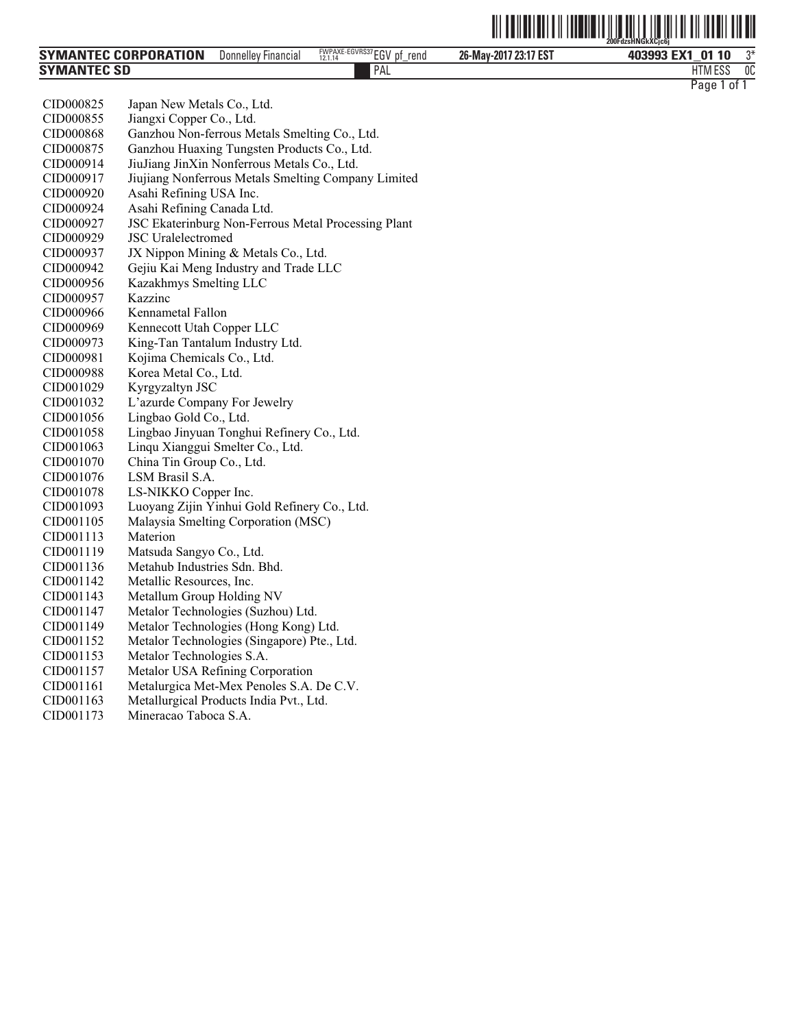| <b>SYMANTEC CORPORATION</b> | Donnelley Financial | FWPAXE-EGVRS37 EGV pf<br>rend<br>12.1.14 | 26-May-2017 23:17 EST | 403993 EX1<br>0110 | ግ* |
|-----------------------------|---------------------|------------------------------------------|-----------------------|--------------------|----|
| <b>SYMANTEC SD</b>          |                     | <b>PAL</b>                               |                       | <b>HTM ESS</b>     | 0C |

| CID000825 | Japan New Metals Co., Ltd.                          |
|-----------|-----------------------------------------------------|
| CID000855 | Jiangxi Copper Co., Ltd.                            |
| CID000868 | Ganzhou Non-ferrous Metals Smelting Co., Ltd.       |
| CID000875 | Ganzhou Huaxing Tungsten Products Co., Ltd.         |
| CID000914 | JiuJiang JinXin Nonferrous Metals Co., Ltd.         |
| CID000917 | Jiujiang Nonferrous Metals Smelting Company Limited |
| CID000920 | Asahi Refining USA Inc.                             |
| CID000924 | Asahi Refining Canada Ltd.                          |
| CID000927 | JSC Ekaterinburg Non-Ferrous Metal Processing Plant |
| CID000929 | <b>JSC</b> Uralelectromed                           |
| CID000937 | JX Nippon Mining & Metals Co., Ltd.                 |
| CID000942 | Gejiu Kai Meng Industry and Trade LLC               |
| CID000956 | Kazakhmys Smelting LLC                              |
| CID000957 | Kazzinc                                             |
| CID000966 | Kennametal Fallon                                   |
| CID000969 | Kennecott Utah Copper LLC                           |
| CID000973 | King-Tan Tantalum Industry Ltd.                     |
| CID000981 | Kojima Chemicals Co., Ltd.                          |
| CID000988 | Korea Metal Co., Ltd.                               |
| CID001029 | Kyrgyzaltyn JSC                                     |
| CID001032 | L'azurde Company For Jewelry                        |
| CID001056 | Lingbao Gold Co., Ltd.                              |
| CID001058 | Lingbao Jinyuan Tonghui Refinery Co., Ltd.          |
| CID001063 | Linqu Xianggui Smelter Co., Ltd.                    |
| CID001070 | China Tin Group Co., Ltd.                           |
| CID001076 | LSM Brasil S.A.                                     |
| CID001078 | LS-NIKKO Copper Inc.                                |
| CID001093 | Luoyang Zijin Yinhui Gold Refinery Co., Ltd.        |
| CID001105 | Malaysia Smelting Corporation (MSC)                 |
| CID001113 | Materion                                            |
| CID001119 | Matsuda Sangyo Co., Ltd.                            |
| CID001136 | Metahub Industries Sdn. Bhd.                        |
| CID001142 | Metallic Resources, Inc.                            |
| CID001143 | Metallum Group Holding NV                           |
| CID001147 | Metalor Technologies (Suzhou) Ltd.                  |
| CID001149 | Metalor Technologies (Hong Kong) Ltd.               |
| CID001152 | Metalor Technologies (Singapore) Pte., Ltd.         |
| CID001153 | Metalor Technologies S.A.                           |
| CID001157 | Metalor USA Refining Corporation                    |
| CID001161 | Metalurgica Met-Mex Penoles S.A. De C.V.            |
| CID001163 | Metallurgical Products India Pvt., Ltd.             |

CID001173 Mineracao Taboca S.A.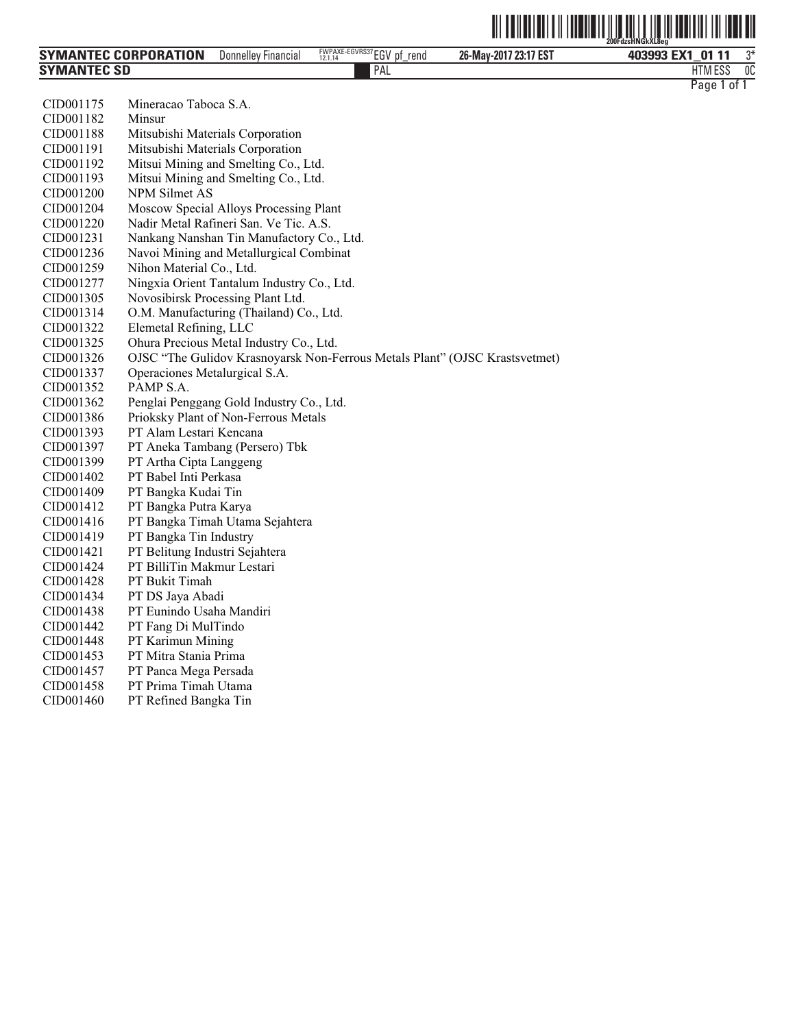|                      |                            |                                             |                       | 200FdzsHNGkXL8eg |    |
|----------------------|----------------------------|---------------------------------------------|-----------------------|------------------|----|
| SYMANTEC CORPORATION | <b>Donnelley Financial</b> | FWPAXE-EGVRS37EGV<br>.nt<br>rend<br>12.1.14 | 26-May-2017 23:17 EST | 403993 EX1 01 11 | ግ* |
| Symantec SD          |                            | PAL                                         |                       | HTM ESS          | 0C |

| CID001175 | Mineracao Taboca S.A.                                                       |
|-----------|-----------------------------------------------------------------------------|
| CID001182 | Minsur                                                                      |
| CID001188 | Mitsubishi Materials Corporation                                            |
| CID001191 | Mitsubishi Materials Corporation                                            |
| CID001192 | Mitsui Mining and Smelting Co., Ltd.                                        |
| CID001193 | Mitsui Mining and Smelting Co., Ltd.                                        |
| CID001200 | <b>NPM Silmet AS</b>                                                        |
| CID001204 | Moscow Special Alloys Processing Plant                                      |
| CID001220 | Nadir Metal Rafineri San. Ve Tic. A.S.                                      |
| CID001231 | Nankang Nanshan Tin Manufactory Co., Ltd.                                   |
| CID001236 | Navoi Mining and Metallurgical Combinat                                     |
| CID001259 | Nihon Material Co., Ltd.                                                    |
| CID001277 | Ningxia Orient Tantalum Industry Co., Ltd.                                  |
| CID001305 | Novosibirsk Processing Plant Ltd.                                           |
| CID001314 | O.M. Manufacturing (Thailand) Co., Ltd.                                     |
| CID001322 | Elemetal Refining, LLC                                                      |
| CID001325 | Ohura Precious Metal Industry Co., Ltd.                                     |
| CID001326 | OJSC "The Gulidov Krasnoyarsk Non-Ferrous Metals Plant" (OJSC Krastsvetmet) |
| CID001337 | Operaciones Metalurgical S.A.                                               |
| CID001352 | PAMP S.A.                                                                   |
| CID001362 | Penglai Penggang Gold Industry Co., Ltd.                                    |
| CID001386 | Prioksky Plant of Non-Ferrous Metals                                        |
| CID001393 | PT Alam Lestari Kencana                                                     |
| CID001397 | PT Aneka Tambang (Persero) Tbk                                              |
| CID001399 | PT Artha Cipta Langgeng                                                     |
| CID001402 | PT Babel Inti Perkasa                                                       |
| CID001409 | PT Bangka Kudai Tin                                                         |
| CID001412 | PT Bangka Putra Karya                                                       |
| CID001416 | PT Bangka Timah Utama Sejahtera                                             |
| CID001419 | PT Bangka Tin Industry                                                      |
| CID001421 | PT Belitung Industri Sejahtera                                              |
| CID001424 | PT BilliTin Makmur Lestari                                                  |
| CID001428 | PT Bukit Timah                                                              |
| CID001434 | PT DS Jaya Abadi                                                            |
| CID001438 | PT Eunindo Usaha Mandiri                                                    |
| CID001442 | PT Fang Di MulTindo                                                         |
| CID001448 | PT Karimun Mining                                                           |
| CID001453 | PT Mitra Stania Prima                                                       |
| CID001457 | PT Panca Mega Persada                                                       |
| CID001458 | PT Prima Timah Utama                                                        |
| CID001460 | PT Refined Bangka Tin                                                       |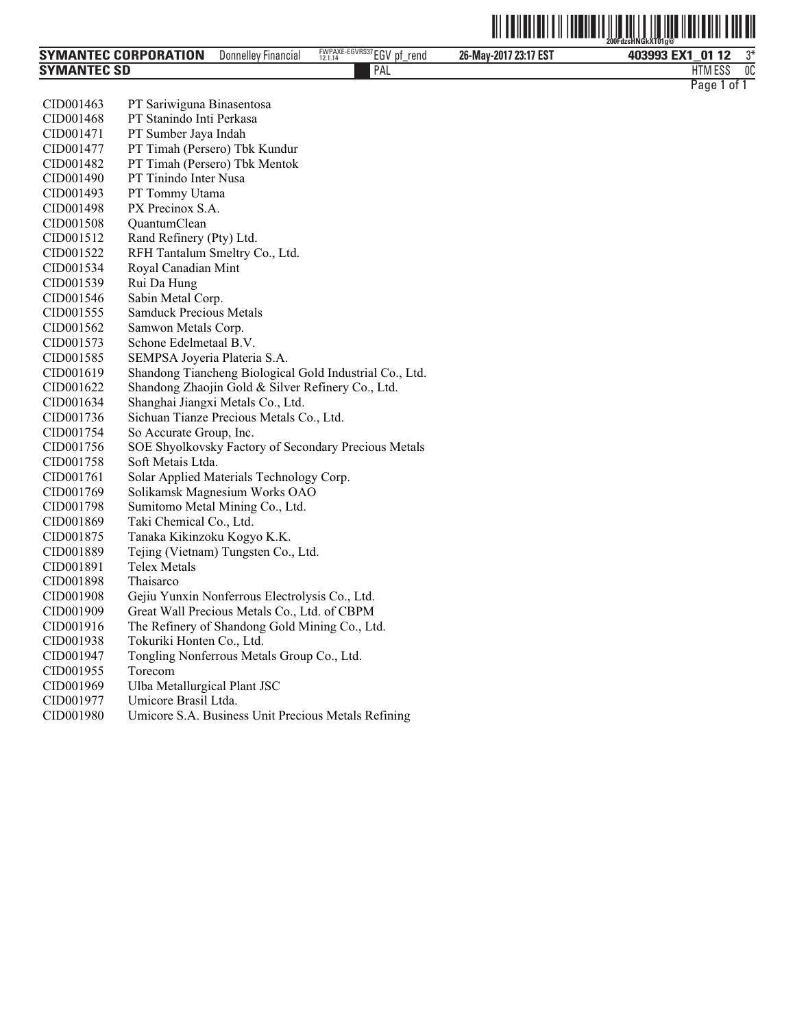|                      |                            |                                             |                       | <u>HIIIIIIIIIIIIIIIII</u><br>200FdzsHNGkXT01a@ |    |
|----------------------|----------------------------|---------------------------------------------|-----------------------|------------------------------------------------|----|
| SYMANTEC CORPORATION | <b>Donnelley Financial</b> | FWPAXE-EGVRS37 EGV<br>рf<br>rend<br>12.1.14 | 26-May-2017 23:17 EST | 403993 EX1<br>01 12                            | ግ* |
| Symantec SD          |                            | PAL                                         |                       | <b>HTM ESS</b>                                 | 0C |

| CID001463 | PT Sariwiguna Binasentosa                               |
|-----------|---------------------------------------------------------|
| CID001468 | PT Stanindo Inti Perkasa                                |
| CID001471 | PT Sumber Jaya Indah                                    |
| CID001477 | PT Timah (Persero) Tbk Kundur                           |
| CID001482 | PT Timah (Persero) Tbk Mentok                           |
| CID001490 | PT Tinindo Inter Nusa                                   |
| CID001493 | PT Tommy Utama                                          |
| CID001498 | PX Precinox S.A.                                        |
| CID001508 | QuantumClean                                            |
| CID001512 | Rand Refinery (Pty) Ltd.                                |
| CID001522 | RFH Tantalum Smeltry Co., Ltd.                          |
| CID001534 | Royal Canadian Mint                                     |
| CID001539 | Rui Da Hung                                             |
| CID001546 | Sabin Metal Corp.                                       |
| CID001555 | <b>Samduck Precious Metals</b>                          |
| CID001562 | Samwon Metals Corp.                                     |
| CID001573 | Schone Edelmetaal B.V.                                  |
| CID001585 | SEMPSA Joyeria Plateria S.A.                            |
| CID001619 | Shandong Tiancheng Biological Gold Industrial Co., Ltd. |
| CID001622 | Shandong Zhaojin Gold & Silver Refinery Co., Ltd.       |
| CID001634 | Shanghai Jiangxi Metals Co., Ltd.                       |
| CID001736 | Sichuan Tianze Precious Metals Co., Ltd.                |
| CID001754 | So Accurate Group, Inc.                                 |
| CID001756 | SOE Shyolkovsky Factory of Secondary Precious Metals    |
| CID001758 | Soft Metais Ltda.                                       |
| CID001761 | Solar Applied Materials Technology Corp.                |
| CID001769 | Solikamsk Magnesium Works OAO                           |
| CID001798 | Sumitomo Metal Mining Co., Ltd.                         |
| CID001869 | Taki Chemical Co., Ltd.                                 |
| CID001875 | Tanaka Kikinzoku Kogyo K.K.                             |
| CID001889 | Tejing (Vietnam) Tungsten Co., Ltd.                     |
| CID001891 | <b>Telex Metals</b>                                     |
| CID001898 | Thaisarco                                               |
| CID001908 | Gejiu Yunxin Nonferrous Electrolysis Co., Ltd.          |
| CID001909 | Great Wall Precious Metals Co., Ltd. of CBPM            |
| CID001916 | The Refinery of Shandong Gold Mining Co., Ltd.          |
| CID001938 | Tokuriki Honten Co., Ltd.                               |
| CID001947 | Tongling Nonferrous Metals Group Co., Ltd.              |
| CID001955 | Torecom                                                 |
| CID001969 | Ulba Metallurgical Plant JSC                            |
| CID001977 | Umicore Brasil Ltda.                                    |
| CID001980 | Umicore S.A. Business Unit Precious Metals Refining     |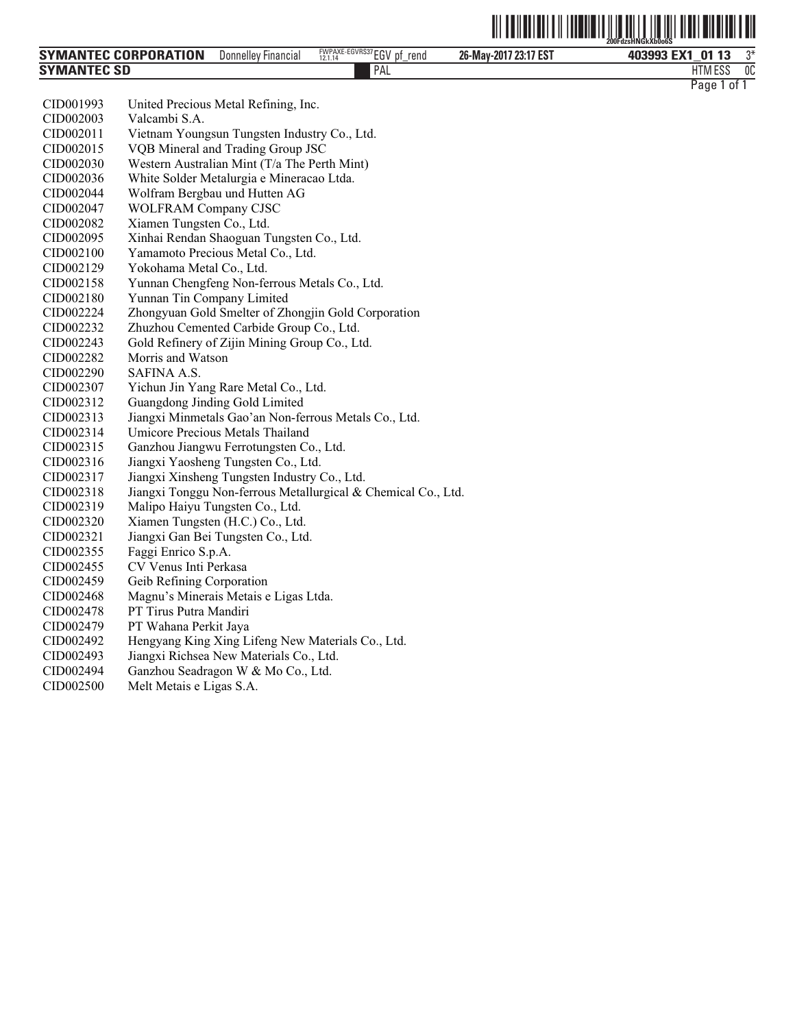|                             |                            |                                               | <u> III TENENIN</u><br>$\parallel$ | $\blacksquare$      |    |
|-----------------------------|----------------------------|-----------------------------------------------|------------------------------------|---------------------|----|
| <b>SYMANTEC CORPORATION</b> | <b>Donnelley Financial</b> | FWPAXE-EGVRS37 EGV<br>. pf<br>rend<br>12.1.14 | 26-May-2017 23:17 EST              | 403993 EX1<br>01 13 | ገ* |
| <b>SYMANTEC SD</b>          |                            | PAL                                           |                                    | <b>HTM ESS</b>      | 0C |

| CID001993 | United Precious Metal Refining, Inc.                          |
|-----------|---------------------------------------------------------------|
| CID002003 | Valcambi S.A.                                                 |
| CID002011 | Vietnam Youngsun Tungsten Industry Co., Ltd.                  |
| CID002015 | VQB Mineral and Trading Group JSC                             |
| CID002030 | Western Australian Mint (T/a The Perth Mint)                  |
| CID002036 | White Solder Metalurgia e Mineracao Ltda.                     |
| CID002044 | Wolfram Bergbau und Hutten AG                                 |
| CID002047 | <b>WOLFRAM Company CJSC</b>                                   |
| CID002082 | Xiamen Tungsten Co., Ltd.                                     |
| CID002095 | Xinhai Rendan Shaoguan Tungsten Co., Ltd.                     |
| CID002100 | Yamamoto Precious Metal Co., Ltd.                             |
| CID002129 | Yokohama Metal Co., Ltd.                                      |
| CID002158 | Yunnan Chengfeng Non-ferrous Metals Co., Ltd.                 |
| CID002180 | Yunnan Tin Company Limited                                    |
| CID002224 | Zhongyuan Gold Smelter of Zhongjin Gold Corporation           |
| CID002232 | Zhuzhou Cemented Carbide Group Co., Ltd.                      |
| CID002243 | Gold Refinery of Zijin Mining Group Co., Ltd.                 |
| CID002282 | Morris and Watson                                             |
| CID002290 | SAFINA A.S.                                                   |
| CID002307 | Yichun Jin Yang Rare Metal Co., Ltd.                          |
| CID002312 | Guangdong Jinding Gold Limited                                |
| CID002313 | Jiangxi Minmetals Gao'an Non-ferrous Metals Co., Ltd.         |
| CID002314 | <b>Umicore Precious Metals Thailand</b>                       |
| CID002315 | Ganzhou Jiangwu Ferrotungsten Co., Ltd.                       |
| CID002316 | Jiangxi Yaosheng Tungsten Co., Ltd.                           |
| CID002317 | Jiangxi Xinsheng Tungsten Industry Co., Ltd.                  |
| CID002318 | Jiangxi Tonggu Non-ferrous Metallurgical & Chemical Co., Ltd. |
| CID002319 | Malipo Haiyu Tungsten Co., Ltd.                               |
| CID002320 | Xiamen Tungsten (H.C.) Co., Ltd.                              |
| CID002321 | Jiangxi Gan Bei Tungsten Co., Ltd.                            |
| CID002355 | Faggi Enrico S.p.A.                                           |
| CID002455 | CV Venus Inti Perkasa                                         |
| CID002459 | Geib Refining Corporation                                     |
| CID002468 | Magnu's Minerais Metais e Ligas Ltda.                         |
| CID002478 | PT Tirus Putra Mandiri                                        |
| CID002479 | PT Wahana Perkit Jaya                                         |
| CID002492 | Hengyang King Xing Lifeng New Materials Co., Ltd.             |
| CID002493 | Jiangxi Richsea New Materials Co., Ltd.                       |
| CID002494 | Ganzhou Seadragon W & Mo Co., Ltd.                            |
|           |                                                               |

CID002500 Melt Metais e Ligas S.A.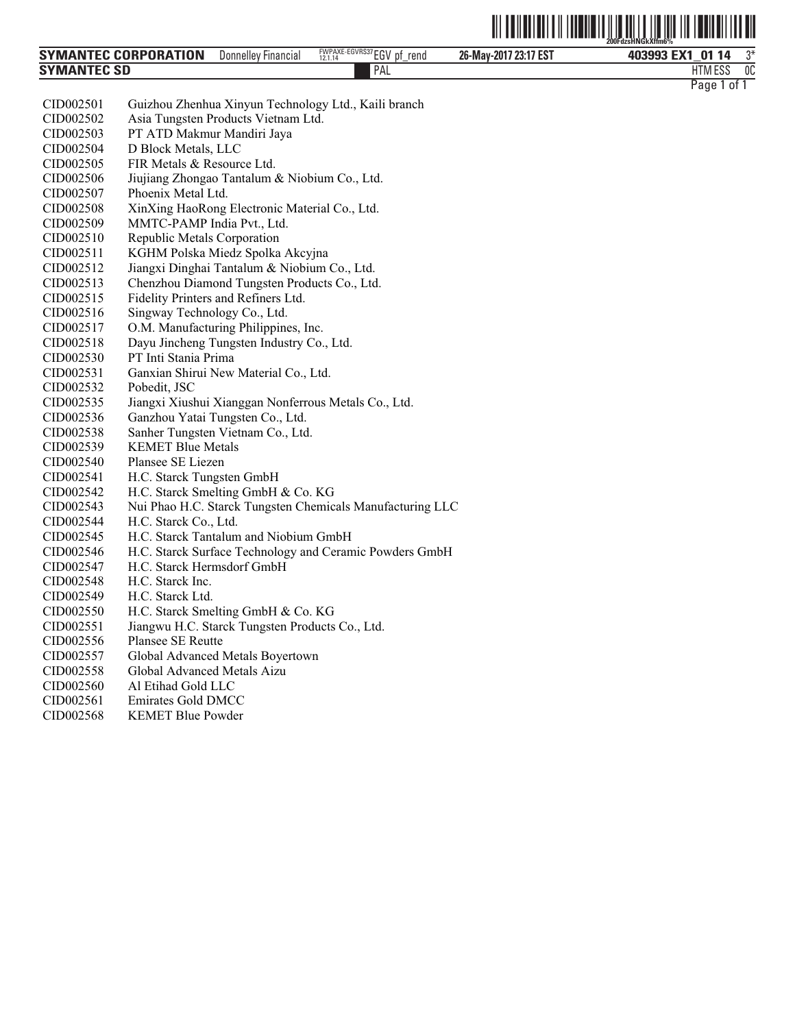

| <b>SYMANTEC CORPORATION</b> | Donnelley'<br>Financial | FWPAXE-EGVRS37EGV<br>rend<br>рt<br>12.1.14<br>- | 26-May-2017 23:17 EST | ግ*<br>403993 EX1<br>01 14                    |
|-----------------------------|-------------------------|-------------------------------------------------|-----------------------|----------------------------------------------|
| <b>SYMANTEC SD</b>          |                         | PAL                                             |                       | 0C<br><b>MECC</b><br><b>ITA</b><br>טסם ועו ה |
|                             |                         |                                                 |                       | Page<br>0t                                   |

| CID002501 | Guizhou Zhenhua Xinyun Technology Ltd., Kaili branch      |
|-----------|-----------------------------------------------------------|
| CID002502 | Asia Tungsten Products Vietnam Ltd.                       |
| CID002503 | PT ATD Makmur Mandiri Jaya                                |
| CID002504 | D Block Metals, LLC                                       |
| CID002505 | FIR Metals & Resource Ltd.                                |
| CID002506 | Jiujiang Zhongao Tantalum & Niobium Co., Ltd.             |
| CID002507 | Phoenix Metal Ltd.                                        |
| CID002508 | XinXing HaoRong Electronic Material Co., Ltd.             |
| CID002509 | MMTC-PAMP India Pvt., Ltd.                                |
| CID002510 | Republic Metals Corporation                               |
| CID002511 | KGHM Polska Miedz Spolka Akcyjna                          |
| CID002512 | Jiangxi Dinghai Tantalum & Niobium Co., Ltd.              |
| CID002513 | Chenzhou Diamond Tungsten Products Co., Ltd.              |
| CID002515 | Fidelity Printers and Refiners Ltd.                       |
| CID002516 | Singway Technology Co., Ltd.                              |
| CID002517 | O.M. Manufacturing Philippines, Inc.                      |
| CID002518 | Dayu Jincheng Tungsten Industry Co., Ltd.                 |
| CID002530 | PT Inti Stania Prima                                      |
| CID002531 | Ganxian Shirui New Material Co., Ltd.                     |
| CID002532 | Pobedit, JSC                                              |
| CID002535 | Jiangxi Xiushui Xianggan Nonferrous Metals Co., Ltd.      |
| CID002536 | Ganzhou Yatai Tungsten Co., Ltd.                          |
| CID002538 | Sanher Tungsten Vietnam Co., Ltd.                         |
| CID002539 | <b>KEMET Blue Metals</b>                                  |
| CID002540 | Plansee SE Liezen                                         |
| CID002541 | H.C. Starck Tungsten GmbH                                 |
| CID002542 | H.C. Starck Smelting GmbH & Co. KG                        |
| CID002543 | Nui Phao H.C. Starck Tungsten Chemicals Manufacturing LLC |
| CID002544 | H.C. Starck Co., Ltd.                                     |
| CID002545 | H.C. Starck Tantalum and Niobium GmbH                     |
| CID002546 | H.C. Starck Surface Technology and Ceramic Powders GmbH   |
| CID002547 | H.C. Starck Hermsdorf GmbH                                |
| CID002548 | H.C. Starck Inc.                                          |
| CID002549 | H.C. Starck Ltd.                                          |
| CID002550 | H.C. Starck Smelting GmbH & Co. KG                        |
| CID002551 | Jiangwu H.C. Starck Tungsten Products Co., Ltd.           |
| CID002556 | Plansee SE Reutte                                         |
| CID002557 | Global Advanced Metals Boyertown                          |
| CID002558 | Global Advanced Metals Aizu                               |
| CID002560 | Al Etihad Gold LLC                                        |
| CID002561 | Emirates Gold DMCC                                        |
| CID002568 | <b>KEMET Blue Powder</b>                                  |
|           |                                                           |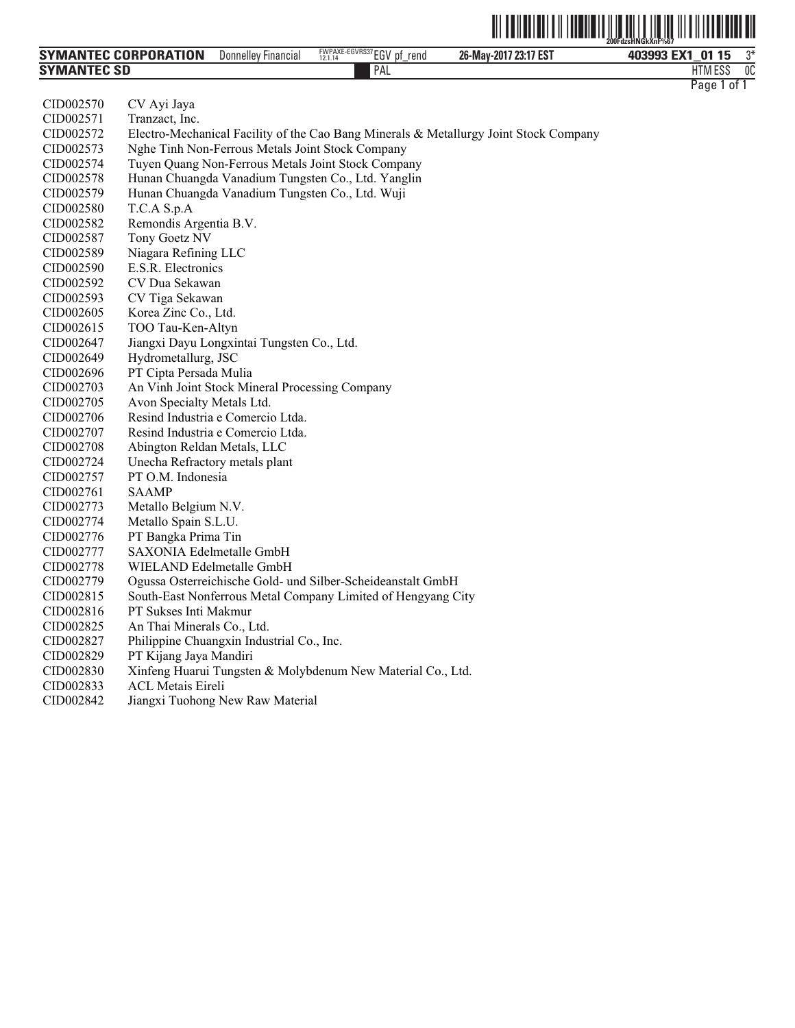|                      |                               |                                            | $\  \ $<br>IIII       | $\parallel$<br>$\parallel$<br>$\mathbb{H}$ $\mathbb{H}^{\nu}$<br>200FdzsHNGkXnF%67 |
|----------------------|-------------------------------|--------------------------------------------|-----------------------|------------------------------------------------------------------------------------|
| SYMANTEC CORPORATION | <b>Financial</b><br>Donnellev | FWPAXE-EGVRS37EGV<br>rend<br>рţ<br>12.1.14 | 26-May-2017 23:17 EST | 403993 EX1<br>01                                                                   |

PAL FILM IN THE PALL THAT IN THE RELATION OF THE RELATION OF THE RELATIONSHIP OF THE RELATIONSHIP OF THE RELATIONSHIP OF THE RELATIONSHIP OF THE RELATIONSHIP OF THE RELATIONSHIP OF THE RELATIONSHIP OF THE RELATIONSHIP OF T

ESS 0C

| <b>SYMANTEC SD</b> | PAL                                                                                   |
|--------------------|---------------------------------------------------------------------------------------|
|                    |                                                                                       |
| CID002570          | CV Ayi Jaya                                                                           |
| CID002571          | Tranzact, Inc.                                                                        |
| CID002572          | Electro-Mechanical Facility of the Cao Bang Minerals & Metallurgy Joint Stock Company |
| CID002573          | Nghe Tinh Non-Ferrous Metals Joint Stock Company                                      |
| CID002574          | Tuyen Quang Non-Ferrous Metals Joint Stock Company                                    |
| CID002578          | Hunan Chuangda Vanadium Tungsten Co., Ltd. Yanglin                                    |
| CID002579          | Hunan Chuangda Vanadium Tungsten Co., Ltd. Wuji                                       |
| CID002580          | T.C.A S.p.A                                                                           |
| CID002582          | Remondis Argentia B.V.                                                                |
| CID002587          | Tony Goetz NV                                                                         |
| CID002589          | Niagara Refining LLC                                                                  |
| CID002590          | E.S.R. Electronics                                                                    |
| CID002592          | CV Dua Sekawan                                                                        |
| CID002593          | CV Tiga Sekawan                                                                       |
| CID002605          | Korea Zinc Co., Ltd.                                                                  |
| CID002615          | TOO Tau-Ken-Altyn                                                                     |
| CID002647          | Jiangxi Dayu Longxintai Tungsten Co., Ltd.                                            |
| CID002649          | Hydrometallurg, JSC                                                                   |
| CID002696          | PT Cipta Persada Mulia                                                                |
| CID002703          | An Vinh Joint Stock Mineral Processing Company                                        |
| CID002705          | Avon Specialty Metals Ltd.                                                            |
| CID002706          | Resind Industria e Comercio Ltda.                                                     |
| CID002707          | Resind Industria e Comercio Ltda.                                                     |
| CID002708          | Abington Reldan Metals, LLC                                                           |
| CID002724          | Unecha Refractory metals plant                                                        |
| CID002757          | PT O.M. Indonesia                                                                     |
| CID002761          | <b>SAAMP</b>                                                                          |
| CID002773          | Metallo Belgium N.V.                                                                  |
| CID002774          | Metallo Spain S.L.U.                                                                  |
| CID002776          | PT Bangka Prima Tin                                                                   |
| CID002777          | SAXONIA Edelmetalle GmbH                                                              |
| CID002778          | WIELAND Edelmetalle GmbH                                                              |
| CID002779          | Ogussa Osterreichische Gold- und Silber-Scheideanstalt GmbH                           |
| CID002815          | South-East Nonferrous Metal Company Limited of Hengyang City                          |
| CID002816          | PT Sukses Inti Makmur                                                                 |
| CID002825          | An Thai Minerals Co., Ltd.                                                            |
| CID002827          | Philippine Chuangxin Industrial Co., Inc.                                             |
| CID002829          | PT Kijang Jaya Mandiri                                                                |
| CID002830          | Xinfeng Huarui Tungsten & Molybdenum New Material Co., Ltd.                           |
| CID002833          | <b>ACL Metais Eireli</b>                                                              |
| CID002842          | Jiangxi Tuohong New Raw Material                                                      |
|                    |                                                                                       |